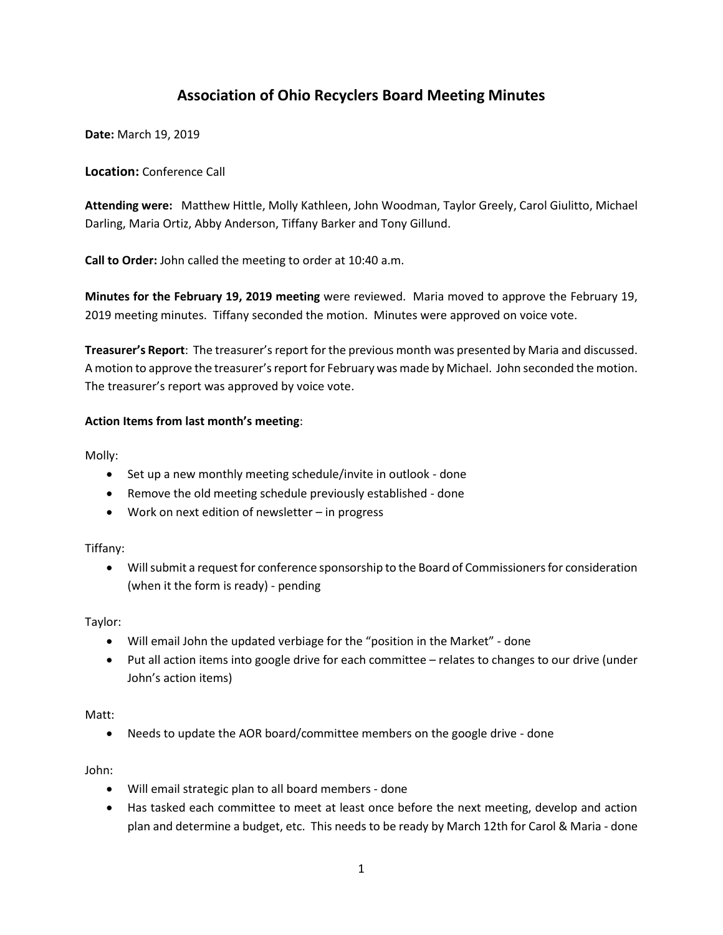# **Association of Ohio Recyclers Board Meeting Minutes**

**Date:** March 19, 2019

# **Location:** Conference Call

**Attending were:** Matthew Hittle, Molly Kathleen, John Woodman, Taylor Greely, Carol Giulitto, Michael Darling, Maria Ortiz, Abby Anderson, Tiffany Barker and Tony Gillund.

**Call to Order:** John called the meeting to order at 10:40 a.m.

**Minutes for the February 19, 2019 meeting** were reviewed. Maria moved to approve the February 19, 2019 meeting minutes. Tiffany seconded the motion. Minutes were approved on voice vote.

**Treasurer's Report**: The treasurer's report for the previous month was presented by Maria and discussed. A motion to approve the treasurer's report for February was made by Michael. John seconded the motion. The treasurer's report was approved by voice vote.

## **Action Items from last month's meeting**:

Molly:

- Set up a new monthly meeting schedule/invite in outlook done
- Remove the old meeting schedule previously established done
- Work on next edition of newsletter in progress

## Tiffany:

• Will submit a request for conference sponsorship to the Board of Commissioners for consideration (when it the form is ready) - pending

Taylor:

- Will email John the updated verbiage for the "position in the Market" done
- Put all action items into google drive for each committee relates to changes to our drive (under John's action items)

## Matt:

• Needs to update the AOR board/committee members on the google drive - done

John:

- Will email strategic plan to all board members done
- Has tasked each committee to meet at least once before the next meeting, develop and action plan and determine a budget, etc. This needs to be ready by March 12th for Carol & Maria - done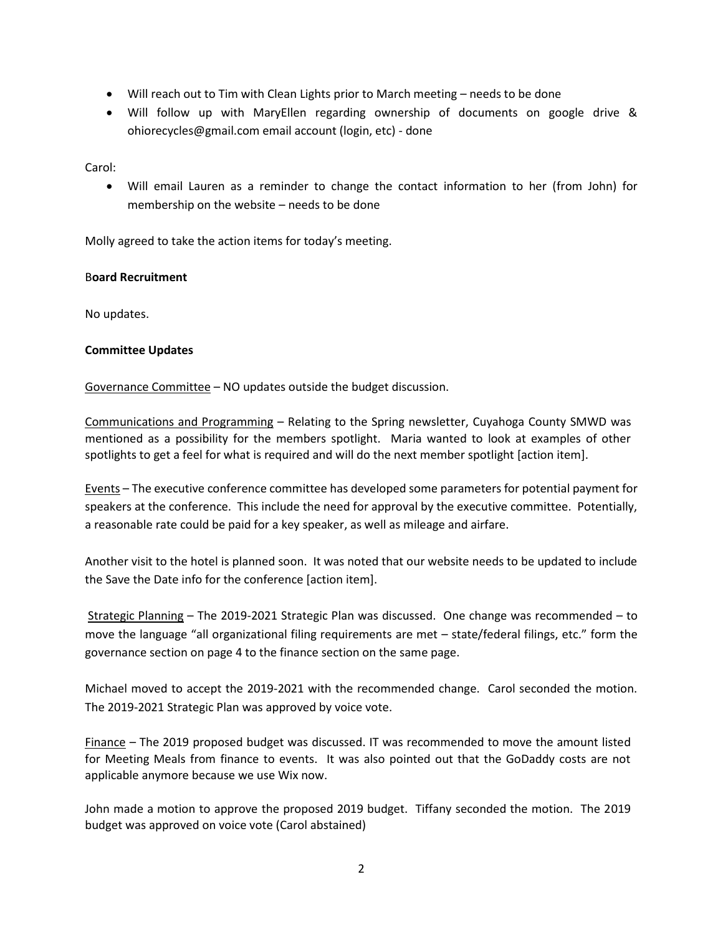- Will reach out to Tim with Clean Lights prior to March meeting needs to be done
- Will follow up with MaryEllen regarding ownership of documents on google drive & ohiorecycles@gmail.com email account (login, etc) - done

Carol:

• Will email Lauren as a reminder to change the contact information to her (from John) for membership on the website – needs to be done

Molly agreed to take the action items for today's meeting.

#### B**oard Recruitment**

No updates.

## **Committee Updates**

Governance Committee – NO updates outside the budget discussion.

Communications and Programming – Relating to the Spring newsletter, Cuyahoga County SMWD was mentioned as a possibility for the members spotlight. Maria wanted to look at examples of other spotlights to get a feel for what is required and will do the next member spotlight [action item].

Events – The executive conference committee has developed some parameters for potential payment for speakers at the conference. This include the need for approval by the executive committee. Potentially, a reasonable rate could be paid for a key speaker, as well as mileage and airfare.

Another visit to the hotel is planned soon. It was noted that our website needs to be updated to include the Save the Date info for the conference [action item].

Strategic Planning – The 2019-2021 Strategic Plan was discussed. One change was recommended – to move the language "all organizational filing requirements are met – state/federal filings, etc." form the governance section on page 4 to the finance section on the same page.

Michael moved to accept the 2019-2021 with the recommended change. Carol seconded the motion. The 2019-2021 Strategic Plan was approved by voice vote.

Finance – The 2019 proposed budget was discussed. IT was recommended to move the amount listed for Meeting Meals from finance to events. It was also pointed out that the GoDaddy costs are not applicable anymore because we use Wix now.

John made a motion to approve the proposed 2019 budget. Tiffany seconded the motion. The 2019 budget was approved on voice vote (Carol abstained)